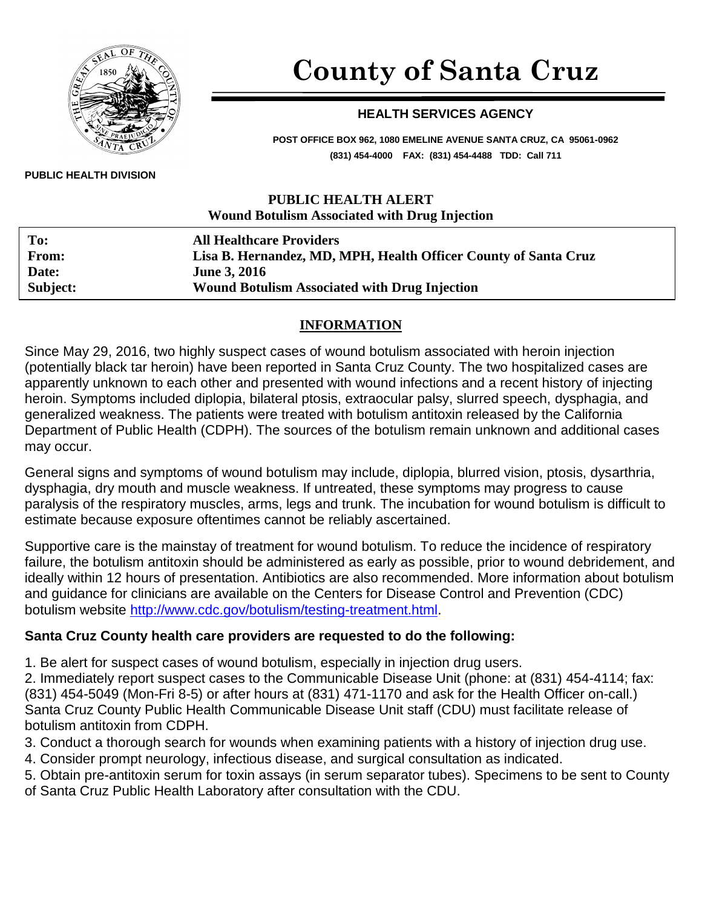

# **County of Santa Cruz**

#### **HEALTH SERVICES AGENCY**

**POST OFFICE BOX 962, 1080 EMELINE AVENUE SANTA CRUZ, CA 95061-0962 (831) 454-4000 FAX: (831) 454-4488 TDD: Call 711**

#### **PUBLIC HEALTH ALERT Wound Botulism Associated with Drug Injection**

| To:      | <b>All Healthcare Providers</b>                                 |
|----------|-----------------------------------------------------------------|
| From:    | Lisa B. Hernandez, MD, MPH, Health Officer County of Santa Cruz |
| Date:    | <b>June 3, 2016</b>                                             |
| Subject: | <b>Wound Botulism Associated with Drug Injection</b>            |

# **INFORMATION**

Since May 29, 2016, two highly suspect cases of wound botulism associated with heroin injection (potentially black tar heroin) have been reported in Santa Cruz County. The two hospitalized cases are apparently unknown to each other and presented with wound infections and a recent history of injecting heroin. Symptoms included diplopia, bilateral ptosis, extraocular palsy, slurred speech, dysphagia, and generalized weakness. The patients were treated with botulism antitoxin released by the California Department of Public Health (CDPH). The sources of the botulism remain unknown and additional cases may occur.

General signs and symptoms of wound botulism may include, diplopia, blurred vision, ptosis, dysarthria, dysphagia, dry mouth and muscle weakness. If untreated, these symptoms may progress to cause paralysis of the respiratory muscles, arms, legs and trunk. The incubation for wound botulism is difficult to estimate because exposure oftentimes cannot be reliably ascertained.

Supportive care is the mainstay of treatment for wound botulism. To reduce the incidence of respiratory failure, the botulism antitoxin should be administered as early as possible, prior to wound debridement, and ideally within 12 hours of presentation. Antibiotics are also recommended. More information about botulism and guidance for clinicians are available on the Centers for Disease Control and Prevention (CDC) botulism website [http://www.cdc.gov/botulism/testing-treatment.html.](http://www.cdc.gov/botulism/testing-treatment.html)

# **Santa Cruz County health care providers are requested to do the following:**

1. Be alert for suspect cases of wound botulism, especially in injection drug users.

2. Immediately report suspect cases to the Communicable Disease Unit (phone: at (831) 454-4114; fax: (831) 454-5049 (Mon-Fri 8-5) or after hours at (831) 471-1170 and ask for the Health Officer on-call.) Santa Cruz County Public Health Communicable Disease Unit staff (CDU) must facilitate release of botulism antitoxin from CDPH.

- 3. Conduct a thorough search for wounds when examining patients with a history of injection drug use.
- 4. Consider prompt neurology, infectious disease, and surgical consultation as indicated.
- 5. Obtain pre-antitoxin serum for toxin assays (in serum separator tubes). Specimens to be sent to County of Santa Cruz Public Health Laboratory after consultation with the CDU.

#### **PUBLIC HEALTH DIVISION**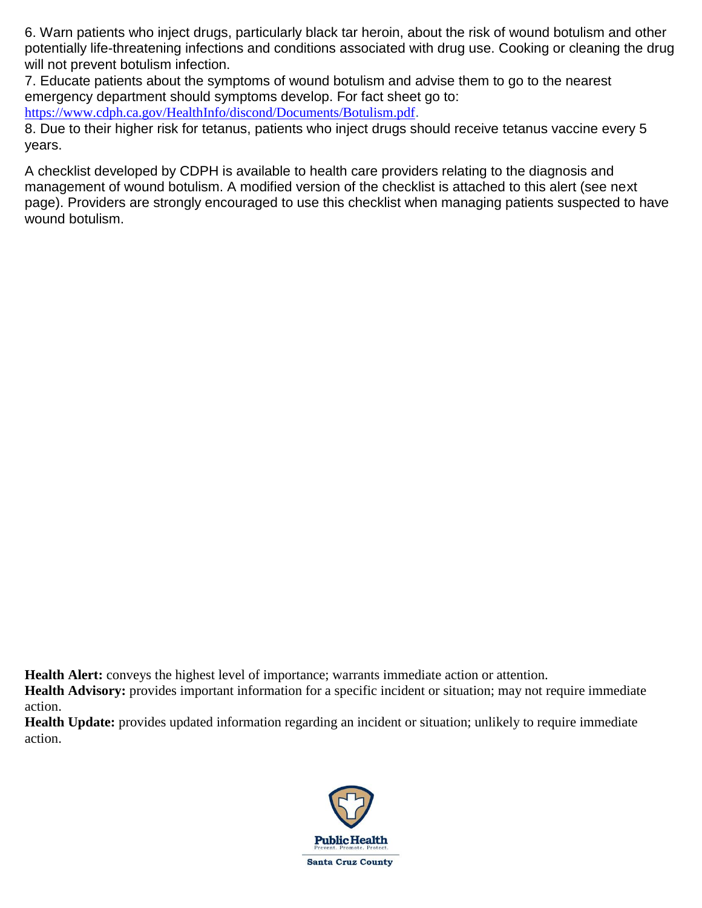6. Warn patients who inject drugs, particularly black tar heroin, about the risk of wound botulism and other potentially life-threatening infections and conditions associated with drug use. Cooking or cleaning the drug will not prevent botulism infection.

7. Educate patients about the symptoms of wound botulism and advise them to go to the nearest emergency department should symptoms develop. For fact sheet go to:

<https://www.cdph.ca.gov/HealthInfo/discond/Documents/Botulism.pdf>.

8. Due to their higher risk for tetanus, patients who inject drugs should receive tetanus vaccine every 5 years.

A checklist developed by CDPH is available to health care providers relating to the diagnosis and management of wound botulism. A modified version of the checklist is attached to this alert (see next page). Providers are strongly encouraged to use this checklist when managing patients suspected to have wound botulism.

**Health Alert:** conveys the highest level of importance; warrants immediate action or attention.

**Health Advisory:** provides important information for a specific incident or situation; may not require immediate action.

**Health Update:** provides updated information regarding an incident or situation; unlikely to require immediate action.